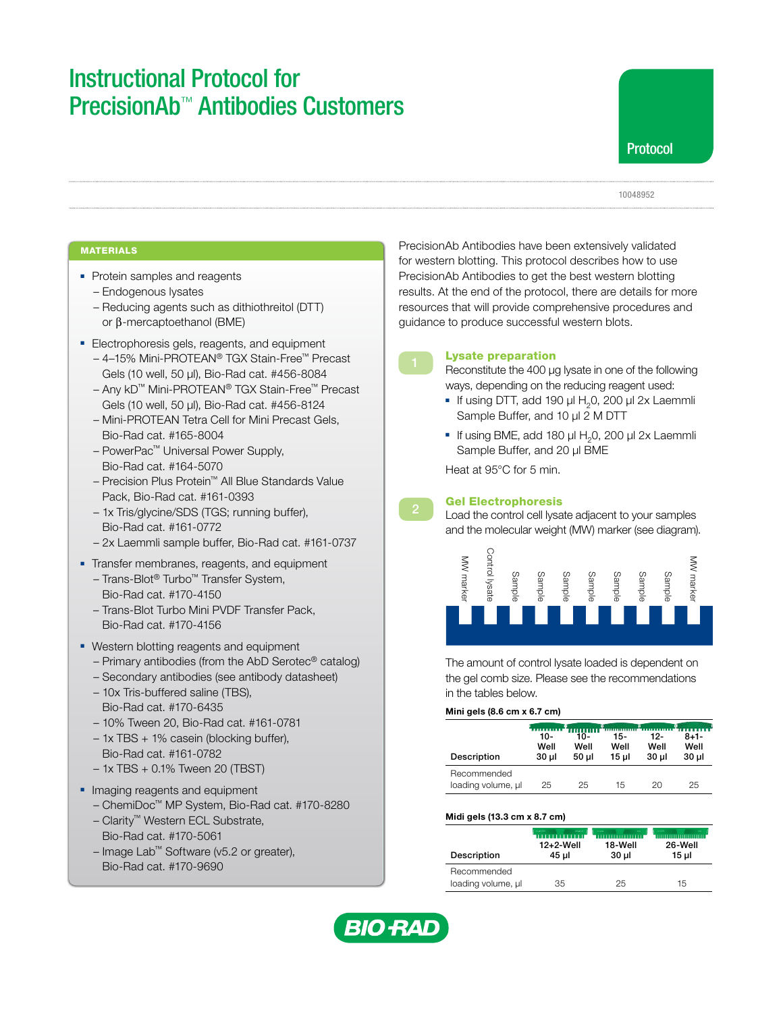# Instructional Protocol for PrecisionAb™ Antibodies Customers



# MATERIALS

- Protein samples and reagents
	- Endogenous lysates
	- Reducing agents such as dithiothreitol (DTT) or  $\beta$ -mercaptoethanol (BME)
- Electrophoresis gels, reagents, and equipment – 4–15% Mini-PROTEAN® TGX Stain-Free™ Precast Gels (10 well, 50 µl), Bio-Rad cat. #456-8084
	- Any kD™ Mini-PROTEAN® TGX Stain-Free™ Precast Gels (10 well, 50 µl), Bio-Rad cat. #456-8124
	- Mini-PROTEAN Tetra Cell for Mini Precast Gels, Bio-Rad cat. #165-8004
	- PowerPac™ Universal Power Supply, Bio-Rad cat. #164-5070
	- Precision Plus Protein™ All Blue Standards Value Pack, Bio-Rad cat. #161-0393
	- 1x Tris/glycine/SDS (TGS; running buffer), Bio-Rad cat. #161-0772
	- 2x Laemmli sample buffer, Bio-Rad cat. #161-0737
- Transfer membranes, reagents, and equipment
	- Trans-Blot® Turbo™ Transfer System, Bio-Rad cat. #170-4150
	- Trans-Blot Turbo Mini PVDF Transfer Pack, Bio-Rad cat. #170-4156
- Western blotting reagents and equipment
	- Primary antibodies (from the AbD Serotec® catalog)
	- Secondary antibodies (see antibody datasheet)
	- 10x Tris-buffered saline (TBS), Bio-Rad cat. #170-6435
	- 10% Tween 20, Bio-Rad cat. #161-0781
	- 1x TBS + 1% casein (blocking buffer), Bio-Rad cat. #161-0782
	- 1x TBS + 0.1% Tween 20 (TBST)
- Imaging reagents and equipment
	- ChemiDoc™ MP System, Bio-Rad cat. #170-8280
	- Clarity™ Western ECL Substrate, Bio-Rad cat. #170-5061
	- Image Lab™ Software (v5.2 or greater), Bio-Rad cat. #170-9690

PrecisionAb Antibodies have been extensively validated for western blotting. This protocol describes how to use PrecisionAb Antibodies to get the best western blotting results. At the end of the protocol, there are details for more resources that will provide comprehensive procedures and guidance to produce successful western blots.

### Lysate preparation

Reconstitute the 400 µg lysate in one of the following ways, depending on the reducing reagent used:

- If using DTT, add 190 μl H<sub>2</sub>0, 200 μl 2x Laemmli Sample Buffer, and 10 μl 2 M DTT
- If using BME, add 180 μl H<sub>2</sub>0, 200 μl 2x Laemmli Sample Buffer, and 20 μl BME

Heat at 95°C for 5 min.

# Gel Electrophoresis

Load the control cell lysate adjacent to your samples and the molecular weight (MW) marker (see diagram).



The amount of control lysate loaded is dependent on the gel comb size. Please see the recommendations

### Mini gels (8.6 cm x 6.7 cm)

| Description        | 10-<br>Well<br>30 µl | 10-<br>Well<br>50 ul | 15-<br>Well<br>15 ul | 12-<br>Well<br>30 ul | 8+1-<br>Well<br>30 ul |
|--------------------|----------------------|----------------------|----------------------|----------------------|-----------------------|
| Recommended        |                      |                      |                      |                      |                       |
| loading volume, µl | 25                   | 25                   | 15                   | 20                   | 25                    |

### Midi gels (13.3 cm x 8.7 cm)

| Description                       | <b>GOVED</b><br><b>GAMES</b><br>$12+2-Well$<br>45 ul | ecos<br><b>COL</b><br>18-Well<br>30 <sub>µ</sub> | source<br>26-Well<br>15 µl |
|-----------------------------------|------------------------------------------------------|--------------------------------------------------|----------------------------|
| Recommended<br>loading volume, µl | 35                                                   | 25                                               | 15                         |